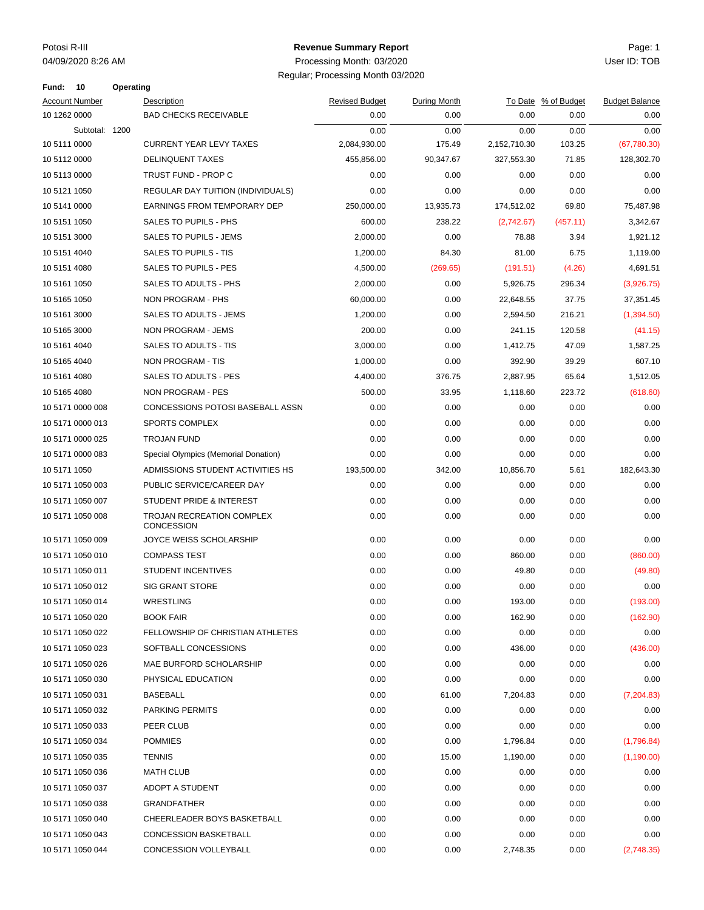### Potosi R-III Page: 1 **Revenue Summary Report**

| 10<br>Fund:           | <b>Operating</b> |                                         |                       |              |              |                     |                       |
|-----------------------|------------------|-----------------------------------------|-----------------------|--------------|--------------|---------------------|-----------------------|
| <b>Account Number</b> |                  | Description                             | <b>Revised Budget</b> | During Month |              | To Date % of Budget | <b>Budget Balance</b> |
| 10 1262 0000          |                  | <b>BAD CHECKS RECEIVABLE</b>            | 0.00                  | 0.00         | 0.00         | 0.00                | 0.00                  |
| Subtotal: 1200        |                  |                                         | 0.00                  | 0.00         | 0.00         | 0.00                | 0.00                  |
| 10 5111 0000          |                  | <b>CURRENT YEAR LEVY TAXES</b>          | 2,084,930.00          | 175.49       | 2,152,710.30 | 103.25              | (67,780.30)           |
| 10 5112 0000          |                  | <b>DELINQUENT TAXES</b>                 | 455,856.00            | 90,347.67    | 327,553.30   | 71.85               | 128,302.70            |
| 10 5113 0000          |                  | TRUST FUND - PROP C                     | 0.00                  | 0.00         | 0.00         | 0.00                | 0.00                  |
| 10 5121 1050          |                  | REGULAR DAY TUITION (INDIVIDUALS)       | 0.00                  | 0.00         | 0.00         | 0.00                | 0.00                  |
| 10 5141 0000          |                  | EARNINGS FROM TEMPORARY DEP             | 250,000.00            | 13,935.73    | 174,512.02   | 69.80               | 75,487.98             |
| 10 5151 1050          |                  | <b>SALES TO PUPILS - PHS</b>            | 600.00                | 238.22       | (2,742.67)   | (457.11)            | 3,342.67              |
| 10 5151 3000          |                  | SALES TO PUPILS - JEMS                  | 2,000.00              | 0.00         | 78.88        | 3.94                | 1,921.12              |
| 10 5151 4040          |                  | SALES TO PUPILS - TIS                   | 1,200.00              | 84.30        | 81.00        | 6.75                | 1,119.00              |
| 10 5151 4080          |                  | SALES TO PUPILS - PES                   | 4,500.00              | (269.65)     | (191.51)     | (4.26)              | 4,691.51              |
| 10 5161 1050          |                  | SALES TO ADULTS - PHS                   | 2,000.00              | 0.00         | 5,926.75     | 296.34              | (3,926.75)            |
| 10 5165 1050          |                  | NON PROGRAM - PHS                       | 60,000.00             | 0.00         | 22,648.55    | 37.75               | 37,351.45             |
| 10 5161 3000          |                  | <b>SALES TO ADULTS - JEMS</b>           | 1,200.00              | 0.00         | 2,594.50     | 216.21              | (1,394.50)            |
| 10 5165 3000          |                  | NON PROGRAM - JEMS                      | 200.00                | 0.00         | 241.15       | 120.58              | (41.15)               |
| 10 5161 4040          |                  | SALES TO ADULTS - TIS                   | 3,000.00              | 0.00         | 1,412.75     | 47.09               | 1,587.25              |
| 10 5165 4040          |                  | <b>NON PROGRAM - TIS</b>                | 1,000.00              | 0.00         | 392.90       | 39.29               | 607.10                |
| 10 5161 4080          |                  | <b>SALES TO ADULTS - PES</b>            | 4,400.00              | 376.75       | 2,887.95     | 65.64               | 1,512.05              |
| 10 5165 4080          |                  | NON PROGRAM - PES                       | 500.00                | 33.95        | 1,118.60     | 223.72              | (618.60)              |
| 10 5171 0000 008      |                  | CONCESSIONS POTOSI BASEBALL ASSN        | 0.00                  | 0.00         | 0.00         | 0.00                | 0.00                  |
| 10 5171 0000 013      |                  | <b>SPORTS COMPLEX</b>                   | 0.00                  | 0.00         | 0.00         | 0.00                | 0.00                  |
| 10 5171 0000 025      |                  | <b>TROJAN FUND</b>                      | 0.00                  | 0.00         | 0.00         | 0.00                | 0.00                  |
| 10 5171 0000 083      |                  | Special Olympics (Memorial Donation)    | 0.00                  | 0.00         | 0.00         | 0.00                | 0.00                  |
| 10 5171 1050          |                  | ADMISSIONS STUDENT ACTIVITIES HS        | 193,500.00            | 342.00       | 10,856.70    | 5.61                | 182,643.30            |
| 10 5171 1050 003      |                  | PUBLIC SERVICE/CAREER DAY               | 0.00                  | 0.00         | 0.00         | 0.00                | 0.00                  |
| 10 5171 1050 007      |                  | STUDENT PRIDE & INTEREST                | 0.00                  | 0.00         | 0.00         | 0.00                | 0.00                  |
| 10 5171 1050 008      |                  | TROJAN RECREATION COMPLEX<br>CONCESSION | 0.00                  | 0.00         | 0.00         | 0.00                | 0.00                  |
| 10 5171 1050 009      |                  | JOYCE WEISS SCHOLARSHIP                 | 0.00                  | 0.00         | 0.00         | 0.00                | 0.00                  |
| 10 5171 1050 010      |                  | <b>COMPASS TEST</b>                     | 0.00                  | 0.00         | 860.00       | 0.00                | (860.00)              |
| 10 5171 1050 011      |                  | <b>STUDENT INCENTIVES</b>               | 0.00                  | 0.00         | 49.80        | 0.00                | (49.80)               |
| 10 5171 1050 012      |                  | <b>SIG GRANT STORE</b>                  | 0.00                  | 0.00         | 0.00         | 0.00                | 0.00                  |
| 10 5171 1050 014      |                  | <b>WRESTLING</b>                        | 0.00                  | 0.00         | 193.00       | 0.00                | (193.00)              |
| 10 5171 1050 020      |                  | <b>BOOK FAIR</b>                        | 0.00                  | 0.00         | 162.90       | 0.00                | (162.90)              |
| 10 5171 1050 022      |                  | FELLOWSHIP OF CHRISTIAN ATHLETES        | 0.00                  | 0.00         | 0.00         | 0.00                | 0.00                  |
| 10 5171 1050 023      |                  | SOFTBALL CONCESSIONS                    | 0.00                  | 0.00         | 436.00       | 0.00                | (436.00)              |
| 10 5171 1050 026      |                  | MAE BURFORD SCHOLARSHIP                 | 0.00                  | 0.00         | 0.00         | 0.00                | 0.00                  |
| 10 5171 1050 030      |                  | PHYSICAL EDUCATION                      | 0.00                  | 0.00         | 0.00         | 0.00                | 0.00                  |
| 10 5171 1050 031      |                  | BASEBALL                                | 0.00                  | 61.00        | 7,204.83     | 0.00                | (7, 204.83)           |
| 10 5171 1050 032      |                  | PARKING PERMITS                         | 0.00                  | 0.00         | 0.00         | 0.00                | 0.00                  |
|                       |                  | PEER CLUB                               | 0.00                  | 0.00         |              |                     |                       |
| 10 5171 1050 033      |                  |                                         |                       |              | 0.00         | 0.00                | 0.00                  |
| 10 5171 1050 034      |                  | <b>POMMIES</b>                          | 0.00                  | 0.00         | 1,796.84     | 0.00                | (1,796.84)            |
| 10 5171 1050 035      |                  | <b>TENNIS</b>                           | 0.00                  | 15.00        | 1,190.00     | 0.00                | (1, 190.00)           |
| 10 5171 1050 036      |                  | <b>MATH CLUB</b>                        | 0.00                  | 0.00         | 0.00         | 0.00                | 0.00                  |
| 10 5171 1050 037      |                  | ADOPT A STUDENT                         | 0.00                  | 0.00         | 0.00         | 0.00                | 0.00                  |
| 10 5171 1050 038      |                  | <b>GRANDFATHER</b>                      | 0.00                  | 0.00         | 0.00         | 0.00                | 0.00                  |
| 10 5171 1050 040      |                  | CHEERLEADER BOYS BASKETBALL             | 0.00                  | 0.00         | 0.00         | 0.00                | 0.00                  |
| 10 5171 1050 043      |                  | <b>CONCESSION BASKETBALL</b>            | 0.00                  | 0.00         | 0.00         | 0.00                | 0.00                  |
| 10 5171 1050 044      |                  | CONCESSION VOLLEYBALL                   | 0.00                  | 0.00         | 2,748.35     | 0.00                | (2,748.35)            |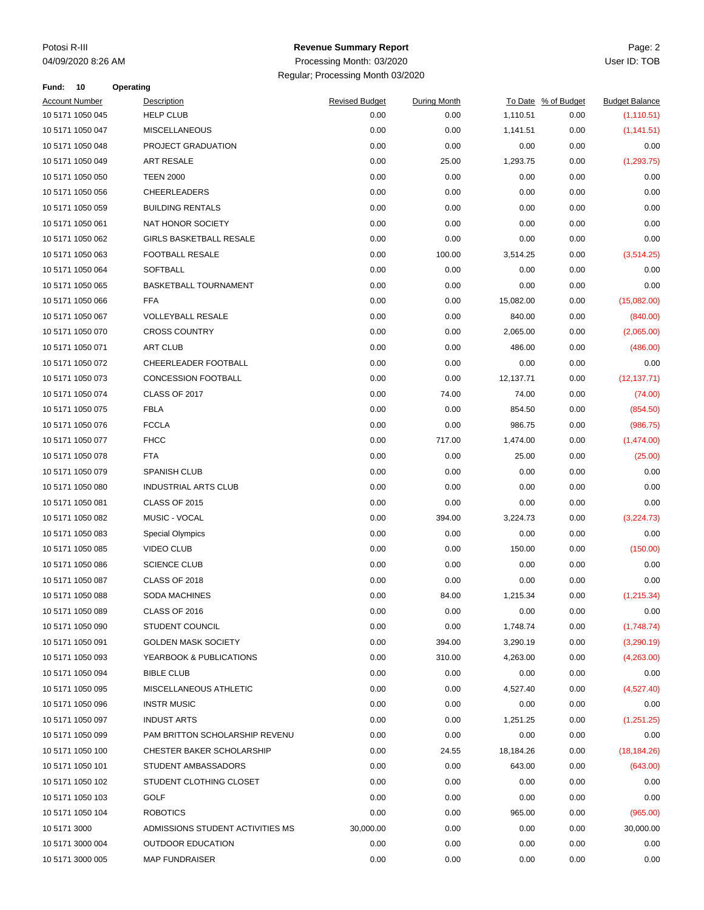### Potosi R-III Page: 2 **Revenue Summary Report**

| Fund:                 | 10               | Operating |                                  |                       |                     |           |                     |                       |
|-----------------------|------------------|-----------|----------------------------------|-----------------------|---------------------|-----------|---------------------|-----------------------|
| <b>Account Number</b> |                  |           | Description                      | <b>Revised Budget</b> | <b>During Month</b> |           | To Date % of Budget | <b>Budget Balance</b> |
|                       | 10 5171 1050 045 |           | <b>HELP CLUB</b>                 | 0.00                  | 0.00                | 1,110.51  | 0.00                | (1, 110.51)           |
|                       | 10 5171 1050 047 |           | <b>MISCELLANEOUS</b>             | 0.00                  | 0.00                | 1,141.51  | 0.00                | (1, 141.51)           |
|                       | 10 5171 1050 048 |           | PROJECT GRADUATION               | 0.00                  | 0.00                | 0.00      | 0.00                | 0.00                  |
|                       | 10 5171 1050 049 |           | <b>ART RESALE</b>                | 0.00                  | 25.00               | 1,293.75  | 0.00                | (1, 293.75)           |
|                       | 10 5171 1050 050 |           | <b>TEEN 2000</b>                 | 0.00                  | 0.00                | 0.00      | 0.00                | 0.00                  |
|                       | 10 5171 1050 056 |           | CHEERLEADERS                     | 0.00                  | 0.00                | 0.00      | 0.00                | 0.00                  |
|                       | 10 5171 1050 059 |           | <b>BUILDING RENTALS</b>          | 0.00                  | 0.00                | 0.00      | 0.00                | 0.00                  |
|                       | 10 5171 1050 061 |           | NAT HONOR SOCIETY                | 0.00                  | 0.00                | 0.00      | 0.00                | 0.00                  |
|                       | 10 5171 1050 062 |           | <b>GIRLS BASKETBALL RESALE</b>   | 0.00                  | 0.00                | 0.00      | 0.00                | 0.00                  |
|                       | 10 5171 1050 063 |           | <b>FOOTBALL RESALE</b>           | 0.00                  | 100.00              | 3,514.25  | 0.00                | (3,514.25)            |
|                       | 10 5171 1050 064 |           | <b>SOFTBALL</b>                  | 0.00                  | 0.00                | 0.00      | 0.00                | 0.00                  |
|                       | 10 5171 1050 065 |           | <b>BASKETBALL TOURNAMENT</b>     | 0.00                  | 0.00                | 0.00      | 0.00                | 0.00                  |
|                       | 10 5171 1050 066 |           | <b>FFA</b>                       | 0.00                  | 0.00                | 15,082.00 | 0.00                | (15,082.00)           |
|                       | 10 5171 1050 067 |           | <b>VOLLEYBALL RESALE</b>         | 0.00                  | 0.00                | 840.00    | 0.00                | (840.00)              |
|                       | 10 5171 1050 070 |           | <b>CROSS COUNTRY</b>             | 0.00                  | 0.00                | 2,065.00  | 0.00                | (2,065.00)            |
|                       | 10 5171 1050 071 |           | <b>ART CLUB</b>                  | 0.00                  | 0.00                | 486.00    | 0.00                | (486.00)              |
|                       | 10 5171 1050 072 |           | CHEERLEADER FOOTBALL             | 0.00                  | 0.00                | 0.00      | 0.00                | 0.00                  |
|                       | 10 5171 1050 073 |           | <b>CONCESSION FOOTBALL</b>       | 0.00                  | 0.00                | 12,137.71 | 0.00                | (12, 137.71)          |
|                       | 10 5171 1050 074 |           | CLASS OF 2017                    | 0.00                  | 74.00               | 74.00     | 0.00                | (74.00)               |
|                       | 10 5171 1050 075 |           | <b>FBLA</b>                      | 0.00                  | 0.00                | 854.50    | 0.00                | (854.50)              |
|                       | 10 5171 1050 076 |           | <b>FCCLA</b>                     | 0.00                  | 0.00                | 986.75    | 0.00                | (986.75)              |
|                       | 10 5171 1050 077 |           | <b>FHCC</b>                      | 0.00                  | 717.00              | 1,474.00  | 0.00                | (1,474.00)            |
|                       | 10 5171 1050 078 |           | <b>FTA</b>                       | 0.00                  | 0.00                | 25.00     | 0.00                | (25.00)               |
|                       | 10 5171 1050 079 |           | <b>SPANISH CLUB</b>              | 0.00                  | 0.00                | 0.00      | 0.00                | 0.00                  |
|                       | 10 5171 1050 080 |           | <b>INDUSTRIAL ARTS CLUB</b>      | 0.00                  | 0.00                | 0.00      | 0.00                | 0.00                  |
|                       | 10 5171 1050 081 |           | <b>CLASS OF 2015</b>             | 0.00                  | 0.00                | 0.00      | 0.00                | 0.00                  |
|                       | 10 5171 1050 082 |           | MUSIC - VOCAL                    | 0.00                  | 394.00              | 3,224.73  | 0.00                | (3,224.73)            |
|                       | 10 5171 1050 083 |           | <b>Special Olympics</b>          | 0.00                  | 0.00                | 0.00      | 0.00                | 0.00                  |
|                       | 10 5171 1050 085 |           | <b>VIDEO CLUB</b>                | 0.00                  | 0.00                | 150.00    | 0.00                | (150.00)              |
|                       | 10 5171 1050 086 |           | <b>SCIENCE CLUB</b>              | 0.00                  | 0.00                | 0.00      | 0.00                | 0.00                  |
|                       | 10 5171 1050 087 |           | <b>CLASS OF 2018</b>             | 0.00                  | 0.00                | 0.00      | 0.00                | 0.00                  |
|                       | 10 5171 1050 088 |           | SODA MACHINES                    | 0.00                  | 84.00               | 1,215.34  | 0.00                | (1, 215.34)           |
|                       | 10 5171 1050 089 |           | CLASS OF 2016                    | 0.00                  | 0.00                | 0.00      | 0.00                | 0.00                  |
|                       | 10 5171 1050 090 |           | <b>STUDENT COUNCIL</b>           | 0.00                  | 0.00                | 1,748.74  | 0.00                | (1,748.74)            |
|                       | 10 5171 1050 091 |           | <b>GOLDEN MASK SOCIETY</b>       | 0.00                  | 394.00              | 3,290.19  | 0.00                | (3,290.19)            |
|                       | 10 5171 1050 093 |           | YEARBOOK & PUBLICATIONS          | 0.00                  | 310.00              | 4,263.00  | 0.00                | (4,263.00)            |
|                       | 10 5171 1050 094 |           | <b>BIBLE CLUB</b>                | 0.00                  | 0.00                | 0.00      | 0.00                | 0.00                  |
|                       | 10 5171 1050 095 |           | MISCELLANEOUS ATHLETIC           | 0.00                  | 0.00                | 4,527.40  | 0.00                | (4,527.40)            |
|                       | 10 5171 1050 096 |           | <b>INSTR MUSIC</b>               | 0.00                  | 0.00                | 0.00      | 0.00                | 0.00                  |
|                       | 10 5171 1050 097 |           | <b>INDUST ARTS</b>               | 0.00                  | 0.00                | 1,251.25  | 0.00                | (1,251.25)            |
|                       | 10 5171 1050 099 |           | PAM BRITTON SCHOLARSHIP REVENU   | 0.00                  | 0.00                | 0.00      | 0.00                | 0.00                  |
|                       | 10 5171 1050 100 |           | CHESTER BAKER SCHOLARSHIP        | 0.00                  | 24.55               | 18,184.26 | 0.00                | (18, 184.26)          |
|                       | 10 5171 1050 101 |           | STUDENT AMBASSADORS              | 0.00                  | 0.00                | 643.00    | 0.00                | (643.00)              |
|                       | 10 5171 1050 102 |           | STUDENT CLOTHING CLOSET          | 0.00                  | 0.00                | 0.00      | 0.00                | 0.00                  |
|                       | 10 5171 1050 103 |           | GOLF                             | 0.00                  | 0.00                | 0.00      | 0.00                | 0.00                  |
|                       | 10 5171 1050 104 |           | <b>ROBOTICS</b>                  | 0.00                  | 0.00                | 965.00    | 0.00                | (965.00)              |
| 10 5171 3000          |                  |           | ADMISSIONS STUDENT ACTIVITIES MS | 30,000.00             | 0.00                | 0.00      | 0.00                | 30,000.00             |
|                       | 10 5171 3000 004 |           | <b>OUTDOOR EDUCATION</b>         | 0.00                  | 0.00                | 0.00      | 0.00                | 0.00                  |
|                       | 10 5171 3000 005 |           | <b>MAP FUNDRAISER</b>            | 0.00                  | 0.00                | 0.00      | 0.00                | 0.00                  |
|                       |                  |           |                                  |                       |                     |           |                     |                       |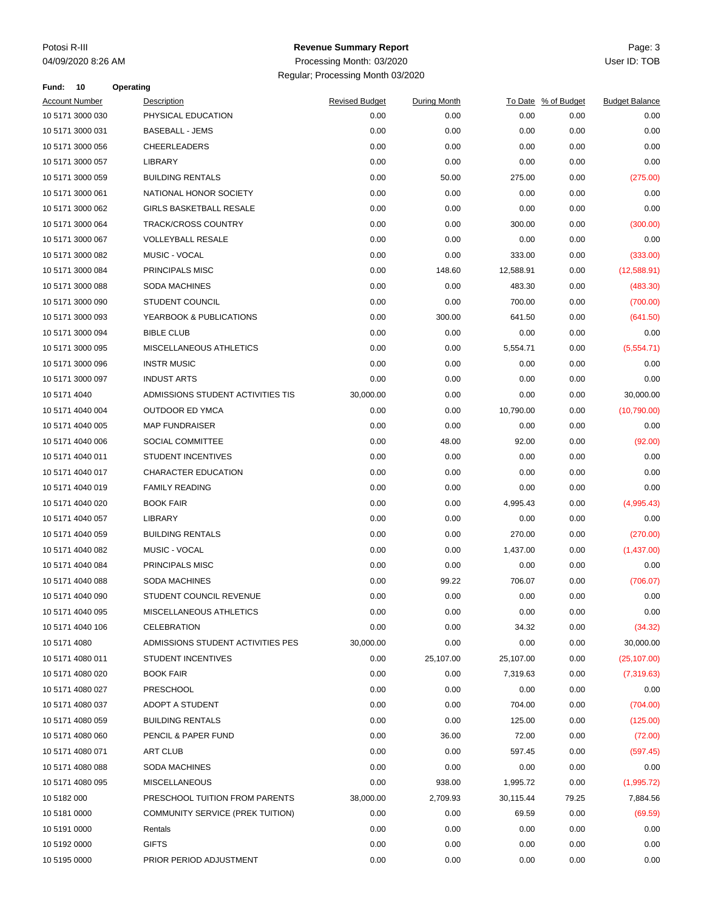### Potosi R-III Page: 3 **Revenue Summary Report**

| Fund:        | 10                    | Operating |                                   |                       |              |           |                     |                       |
|--------------|-----------------------|-----------|-----------------------------------|-----------------------|--------------|-----------|---------------------|-----------------------|
|              | <b>Account Number</b> |           | Description                       | <b>Revised Budget</b> | During Month |           | To Date % of Budget | <b>Budget Balance</b> |
|              | 10 5171 3000 030      |           | PHYSICAL EDUCATION                | 0.00                  | 0.00         | 0.00      | 0.00                | 0.00                  |
|              | 10 5171 3000 031      |           | <b>BASEBALL - JEMS</b>            | 0.00                  | 0.00         | 0.00      | 0.00                | 0.00                  |
|              | 10 5171 3000 056      |           | <b>CHEERLEADERS</b>               | 0.00                  | 0.00         | 0.00      | 0.00                | 0.00                  |
|              | 10 5171 3000 057      |           | LIBRARY                           | 0.00                  | 0.00         | 0.00      | 0.00                | 0.00                  |
|              | 10 5171 3000 059      |           | <b>BUILDING RENTALS</b>           | 0.00                  | 50.00        | 275.00    | 0.00                | (275.00)              |
|              | 10 5171 3000 061      |           | NATIONAL HONOR SOCIETY            | 0.00                  | 0.00         | 0.00      | 0.00                | 0.00                  |
|              | 10 5171 3000 062      |           | <b>GIRLS BASKETBALL RESALE</b>    | 0.00                  | 0.00         | 0.00      | 0.00                | 0.00                  |
|              | 10 5171 3000 064      |           | <b>TRACK/CROSS COUNTRY</b>        | 0.00                  | 0.00         | 300.00    | 0.00                | (300.00)              |
|              | 10 5171 3000 067      |           | <b>VOLLEYBALL RESALE</b>          | 0.00                  | 0.00         | 0.00      | 0.00                | 0.00                  |
|              | 10 5171 3000 082      |           | MUSIC - VOCAL                     | 0.00                  | 0.00         | 333.00    | 0.00                | (333.00)              |
|              | 10 5171 3000 084      |           | PRINCIPALS MISC                   | 0.00                  | 148.60       | 12,588.91 | 0.00                | (12,588.91)           |
|              | 10 5171 3000 088      |           | <b>SODA MACHINES</b>              | 0.00                  | 0.00         | 483.30    | 0.00                | (483.30)              |
|              | 10 5171 3000 090      |           | STUDENT COUNCIL                   | 0.00                  | 0.00         | 700.00    | 0.00                | (700.00)              |
|              | 10 5171 3000 093      |           | YEARBOOK & PUBLICATIONS           | 0.00                  | 300.00       | 641.50    | 0.00                | (641.50)              |
|              | 10 5171 3000 094      |           | <b>BIBLE CLUB</b>                 | 0.00                  | 0.00         | 0.00      | 0.00                | 0.00                  |
|              | 10 5171 3000 095      |           | MISCELLANEOUS ATHLETICS           | 0.00                  | 0.00         | 5,554.71  | 0.00                | (5,554.71)            |
|              | 10 5171 3000 096      |           | <b>INSTR MUSIC</b>                | 0.00                  | 0.00         | 0.00      | 0.00                | 0.00                  |
|              | 10 5171 3000 097      |           | <b>INDUST ARTS</b>                | 0.00                  | 0.00         | 0.00      | 0.00                | 0.00                  |
| 10 5171 4040 |                       |           | ADMISSIONS STUDENT ACTIVITIES TIS | 30,000.00             | 0.00         | 0.00      | 0.00                | 30,000.00             |
|              | 10 5171 4040 004      |           | OUTDOOR ED YMCA                   | 0.00                  | 0.00         | 10,790.00 | 0.00                | (10,790.00)           |
|              | 10 5171 4040 005      |           | <b>MAP FUNDRAISER</b>             | 0.00                  | 0.00         | 0.00      | 0.00                | 0.00                  |
|              | 10 5171 4040 006      |           | SOCIAL COMMITTEE                  | 0.00                  | 48.00        | 92.00     | 0.00                | (92.00)               |
|              | 10 5171 4040 011      |           | <b>STUDENT INCENTIVES</b>         | 0.00                  | 0.00         | 0.00      | 0.00                | 0.00                  |
|              | 10 5171 4040 017      |           | CHARACTER EDUCATION               | 0.00                  | 0.00         | 0.00      | 0.00                | 0.00                  |
|              | 10 5171 4040 019      |           | <b>FAMILY READING</b>             | 0.00                  | 0.00         | 0.00      | 0.00                | 0.00                  |
|              | 10 5171 4040 020      |           | <b>BOOK FAIR</b>                  | 0.00                  | 0.00         | 4,995.43  | 0.00                | (4,995.43)            |
|              | 10 5171 4040 057      |           | LIBRARY                           | 0.00                  | 0.00         | 0.00      | 0.00                | 0.00                  |
|              | 10 5171 4040 059      |           | <b>BUILDING RENTALS</b>           | 0.00                  | 0.00         | 270.00    | 0.00                | (270.00)              |
|              | 10 5171 4040 082      |           | <b>MUSIC - VOCAL</b>              | 0.00                  | 0.00         | 1,437.00  | 0.00                | (1,437.00)            |
|              | 10 5171 4040 084      |           | PRINCIPALS MISC                   | 0.00                  | 0.00         | 0.00      | 0.00                | 0.00                  |
|              | 10 5171 4040 088      |           | <b>SODA MACHINES</b>              | 0.00                  | 99.22        | 706.07    | 0.00                | (706.07)              |
|              | 10 5171 4040 090      |           | STUDENT COUNCIL REVENUE           | 0.00                  | 0.00         | 0.00      | 0.00                | 0.00                  |
|              | 10 5171 4040 095      |           | MISCELLANEOUS ATHLETICS           | 0.00                  | 0.00         | 0.00      | 0.00                | 0.00                  |
|              | 10 5171 4040 106      |           | <b>CELEBRATION</b>                | 0.00                  | 0.00         | 34.32     | 0.00                | (34.32)               |
| 10 5171 4080 |                       |           | ADMISSIONS STUDENT ACTIVITIES PES | 30,000.00             | 0.00         | 0.00      | 0.00                | 30,000.00             |
|              | 10 5171 4080 011      |           | <b>STUDENT INCENTIVES</b>         | 0.00                  | 25,107.00    | 25,107.00 | 0.00                | (25, 107.00)          |
|              | 10 5171 4080 020      |           | <b>BOOK FAIR</b>                  | 0.00                  | 0.00         | 7,319.63  | 0.00                | (7,319.63)            |
|              | 10 5171 4080 027      |           | <b>PRESCHOOL</b>                  | 0.00                  | 0.00         | 0.00      | 0.00                | 0.00                  |
|              | 10 5171 4080 037      |           | ADOPT A STUDENT                   | 0.00                  | 0.00         | 704.00    | 0.00                | (704.00)              |
|              | 10 5171 4080 059      |           | <b>BUILDING RENTALS</b>           | 0.00                  | 0.00         | 125.00    | 0.00                | (125.00)              |
|              | 10 5171 4080 060      |           | PENCIL & PAPER FUND               |                       |              |           |                     |                       |
|              |                       |           |                                   | 0.00                  | 36.00        | 72.00     | 0.00                | (72.00)               |
|              | 10 5171 4080 071      |           | <b>ART CLUB</b>                   | 0.00                  | 0.00         | 597.45    | 0.00                | (597.45)              |
|              | 10 5171 4080 088      |           | <b>SODA MACHINES</b>              | 0.00                  | 0.00         | 0.00      | 0.00                | 0.00                  |
|              | 10 5171 4080 095      |           | <b>MISCELLANEOUS</b>              | 0.00                  | 938.00       | 1,995.72  | 0.00                | (1,995.72)            |
| 10 5182 000  |                       |           | PRESCHOOL TUITION FROM PARENTS    | 38,000.00             | 2,709.93     | 30,115.44 | 79.25               | 7,884.56              |
| 10 5181 0000 |                       |           | COMMUNITY SERVICE (PREK TUITION)  | 0.00                  | 0.00         | 69.59     | 0.00                | (69.59)               |
| 10 5191 0000 |                       |           | Rentals                           | 0.00                  | 0.00         | 0.00      | 0.00                | 0.00                  |
| 10 5192 0000 |                       |           | <b>GIFTS</b>                      | 0.00                  | 0.00         | 0.00      | 0.00                | 0.00                  |
| 10 5195 0000 |                       |           | PRIOR PERIOD ADJUSTMENT           | 0.00                  | 0.00         | 0.00      | 0.00                | 0.00                  |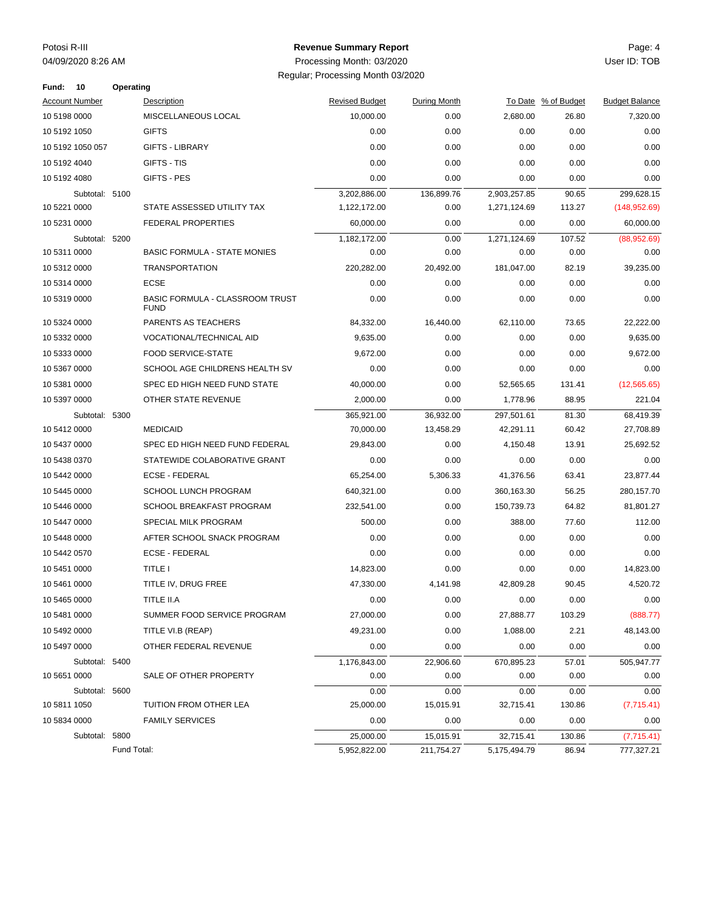#### Potosi R-III Page: 4 **Revenue Summary Report**

| Fund:                 | - 10             | Operating   |                                                       |                       |              |              |                     |                       |
|-----------------------|------------------|-------------|-------------------------------------------------------|-----------------------|--------------|--------------|---------------------|-----------------------|
| <b>Account Number</b> |                  |             | Description                                           | <b>Revised Budget</b> | During Month |              | To Date % of Budget | <b>Budget Balance</b> |
| 10 5198 0000          |                  |             | MISCELLANEOUS LOCAL                                   | 10,000.00             | 0.00         | 2,680.00     | 26.80               | 7,320.00              |
| 10 5192 1050          |                  |             | <b>GIFTS</b>                                          | 0.00                  | 0.00         | 0.00         | 0.00                | 0.00                  |
|                       | 10 5192 1050 057 |             | <b>GIFTS - LIBRARY</b>                                | 0.00                  | 0.00         | 0.00         | 0.00                | 0.00                  |
| 10 5192 4040          |                  |             | GIFTS - TIS                                           | 0.00                  | 0.00         | 0.00         | 0.00                | 0.00                  |
| 10 5192 4080          |                  |             | GIFTS - PES                                           | 0.00                  | 0.00         | 0.00         | 0.00                | 0.00                  |
|                       | Subtotal: 5100   |             |                                                       | 3,202,886.00          | 136,899.76   | 2,903,257.85 | 90.65               | 299,628.15            |
| 10 5221 0000          |                  |             | STATE ASSESSED UTILITY TAX                            | 1,122,172.00          | 0.00         | 1,271,124.69 | 113.27              | (148, 952.69)         |
| 10 5231 0000          |                  |             | FEDERAL PROPERTIES                                    | 60,000.00             | 0.00         | 0.00         | 0.00                | 60,000.00             |
|                       | Subtotal: 5200   |             |                                                       | 1,182,172.00          | 0.00         | 1,271,124.69 | 107.52              | (88,952.69)           |
| 10 5311 0000          |                  |             | <b>BASIC FORMULA - STATE MONIES</b>                   | 0.00                  | 0.00         | 0.00         | 0.00                | 0.00                  |
| 10 5312 0000          |                  |             | <b>TRANSPORTATION</b>                                 | 220,282.00            | 20,492.00    | 181,047.00   | 82.19               | 39,235.00             |
| 10 5314 0000          |                  |             | <b>ECSE</b>                                           | 0.00                  | 0.00         | 0.00         | 0.00                | 0.00                  |
| 10 5319 0000          |                  |             | <b>BASIC FORMULA - CLASSROOM TRUST</b><br><b>FUND</b> | 0.00                  | 0.00         | 0.00         | 0.00                | 0.00                  |
| 10 5324 0000          |                  |             | PARENTS AS TEACHERS                                   | 84,332.00             | 16,440.00    | 62,110.00    | 73.65               | 22,222.00             |
| 10 5332 0000          |                  |             | VOCATIONAL/TECHNICAL AID                              | 9,635.00              | 0.00         | 0.00         | 0.00                | 9,635.00              |
| 10 5333 0000          |                  |             | <b>FOOD SERVICE-STATE</b>                             | 9,672.00              | 0.00         | 0.00         | 0.00                | 9,672.00              |
| 10 5367 0000          |                  |             | SCHOOL AGE CHILDRENS HEALTH SV                        | 0.00                  | 0.00         | 0.00         | 0.00                | 0.00                  |
| 10 5381 0000          |                  |             | SPEC ED HIGH NEED FUND STATE                          | 40,000.00             | 0.00         | 52,565.65    | 131.41              | (12, 565.65)          |
| 10 5397 0000          |                  |             | OTHER STATE REVENUE                                   | 2,000.00              | 0.00         | 1,778.96     | 88.95               | 221.04                |
|                       | Subtotal: 5300   |             |                                                       | 365,921.00            | 36,932.00    | 297,501.61   | 81.30               | 68,419.39             |
| 10 5412 0000          |                  |             | <b>MEDICAID</b>                                       | 70,000.00             | 13,458.29    | 42,291.11    | 60.42               | 27,708.89             |
| 10 5437 0000          |                  |             | SPEC ED HIGH NEED FUND FEDERAL                        | 29,843.00             | 0.00         | 4,150.48     | 13.91               | 25,692.52             |
| 10 5438 0370          |                  |             | STATEWIDE COLABORATIVE GRANT                          | 0.00                  | 0.00         | 0.00         | 0.00                | 0.00                  |
| 10 5442 0000          |                  |             | <b>ECSE - FEDERAL</b>                                 | 65,254.00             | 5,306.33     | 41,376.56    | 63.41               | 23,877.44             |
| 10 5445 0000          |                  |             | <b>SCHOOL LUNCH PROGRAM</b>                           | 640,321.00            | 0.00         | 360,163.30   | 56.25               | 280,157.70            |
| 10 5446 0000          |                  |             | <b>SCHOOL BREAKFAST PROGRAM</b>                       | 232,541.00            | 0.00         | 150,739.73   | 64.82               | 81,801.27             |
| 10 5447 0000          |                  |             | SPECIAL MILK PROGRAM                                  | 500.00                | 0.00         | 388.00       | 77.60               | 112.00                |
| 10 5448 0000          |                  |             | AFTER SCHOOL SNACK PROGRAM                            | 0.00                  | 0.00         | 0.00         | 0.00                | 0.00                  |
| 10 5442 0570          |                  |             | <b>ECSE - FEDERAL</b>                                 | 0.00                  | 0.00         | 0.00         | 0.00                | 0.00                  |
| 10 5451 0000          |                  |             | <b>TITLE I</b>                                        | 14,823.00             | 0.00         | 0.00         | 0.00                | 14,823.00             |
| 10 5461 0000          |                  |             | TITLE IV, DRUG FREE                                   | 47,330.00             | 4.141.98     | 42.809.28    | 90.45               | 4,520.72              |
| 10 5465 0000          |                  |             | TITLE II.A                                            | 0.00                  | 0.00         | 0.00         | 0.00                | 0.00                  |
| 10 5481 0000          |                  |             | SUMMER FOOD SERVICE PROGRAM                           | 27,000.00             | 0.00         | 27,888.77    | 103.29              | (888.77)              |
| 10 5492 0000          |                  |             | TITLE VI.B (REAP)                                     | 49.231.00             | 0.00         | 1,088.00     | 2.21                | 48,143.00             |
| 10 5497 0000          |                  |             | OTHER FEDERAL REVENUE                                 | 0.00                  | 0.00         | 0.00         | 0.00                | 0.00                  |
|                       | Subtotal: 5400   |             |                                                       | 1,176,843.00          | 22,906.60    | 670,895.23   | 57.01               | 505,947.77            |
| 10 5651 0000          |                  |             | SALE OF OTHER PROPERTY                                | 0.00                  | 0.00         | 0.00         | 0.00                | 0.00                  |
|                       | Subtotal: 5600   |             |                                                       | 0.00                  | 0.00         | 0.00         | 0.00                | 0.00                  |
| 10 5811 1050          |                  |             | TUITION FROM OTHER LEA                                | 25,000.00             | 15,015.91    | 32,715.41    | 130.86              | (7,715.41)            |
| 10 5834 0000          |                  |             | <b>FAMILY SERVICES</b>                                | 0.00                  | 0.00         | 0.00         | 0.00                | 0.00                  |
|                       | Subtotal: 5800   |             |                                                       | 25,000.00             | 15,015.91    | 32,715.41    | 130.86              | (7,715.41)            |
|                       |                  | Fund Total: |                                                       | 5,952,822.00          | 211,754.27   | 5,175,494.79 | 86.94               | 777,327.21            |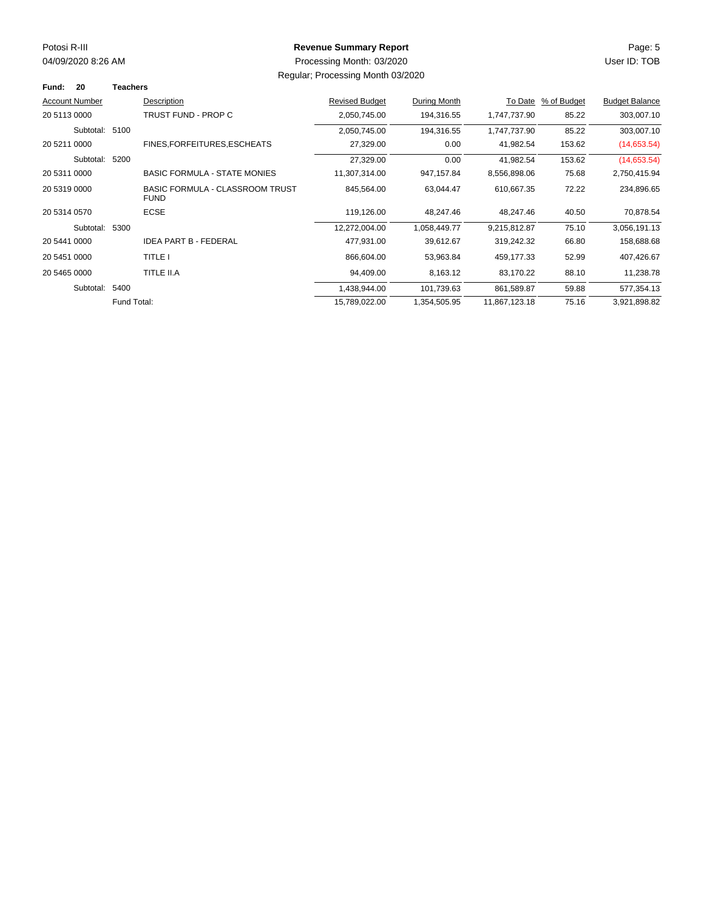# Potosi R-III Page: 5 **Revenue Summary Report**

| Fund:                 | 20             | <b>Teachers</b> |                                                       |                       |              |               |             |                       |
|-----------------------|----------------|-----------------|-------------------------------------------------------|-----------------------|--------------|---------------|-------------|-----------------------|
| <b>Account Number</b> |                |                 | Description                                           | <b>Revised Budget</b> | During Month | To Date       | % of Budget | <b>Budget Balance</b> |
| 20 5113 0000          |                |                 | TRUST FUND - PROP C                                   | 2,050,745.00          | 194,316.55   | 1,747,737.90  | 85.22       | 303,007.10            |
|                       | Subtotal: 5100 |                 |                                                       | 2,050,745.00          | 194,316.55   | 1,747,737.90  | 85.22       | 303,007.10            |
| 20 5211 0000          |                |                 | FINES, FOR FEITURES, ESCHEATS                         | 27,329.00             | 0.00         | 41,982.54     | 153.62      | (14,653.54)           |
|                       | Subtotal:      | 5200            |                                                       | 27,329.00             | 0.00         | 41,982.54     | 153.62      | (14,653.54)           |
| 20 5311 0000          |                |                 | <b>BASIC FORMULA - STATE MONIES</b>                   | 11,307,314.00         | 947, 157.84  | 8,556,898.06  | 75.68       | 2,750,415.94          |
| 20 5319 0000          |                |                 | <b>BASIC FORMULA - CLASSROOM TRUST</b><br><b>FUND</b> | 845,564.00            | 63,044.47    | 610,667.35    | 72.22       | 234,896.65            |
| 20 5314 0570          |                |                 | <b>ECSE</b>                                           | 119,126.00            | 48,247.46    | 48,247.46     | 40.50       | 70,878.54             |
|                       | Subtotal:      | 5300            |                                                       | 12,272,004.00         | 1,058,449.77 | 9,215,812.87  | 75.10       | 3,056,191.13          |
| 20 5441 0000          |                |                 | <b>IDEA PART B - FEDERAL</b>                          | 477,931.00            | 39,612.67    | 319,242.32    | 66.80       | 158,688.68            |
| 20 5451 0000          |                |                 | TITLE I                                               | 866,604.00            | 53,963.84    | 459,177.33    | 52.99       | 407,426.67            |
| 20 5465 0000          |                |                 | TITLE II.A                                            | 94,409.00             | 8,163.12     | 83,170.22     | 88.10       | 11,238.78             |
|                       | Subtotal:      | 5400            |                                                       | 1,438,944.00          | 101,739.63   | 861,589.87    | 59.88       | 577,354.13            |
|                       |                | Fund Total:     |                                                       | 15,789,022.00         | 1,354,505.95 | 11,867,123.18 | 75.16       | 3,921,898.82          |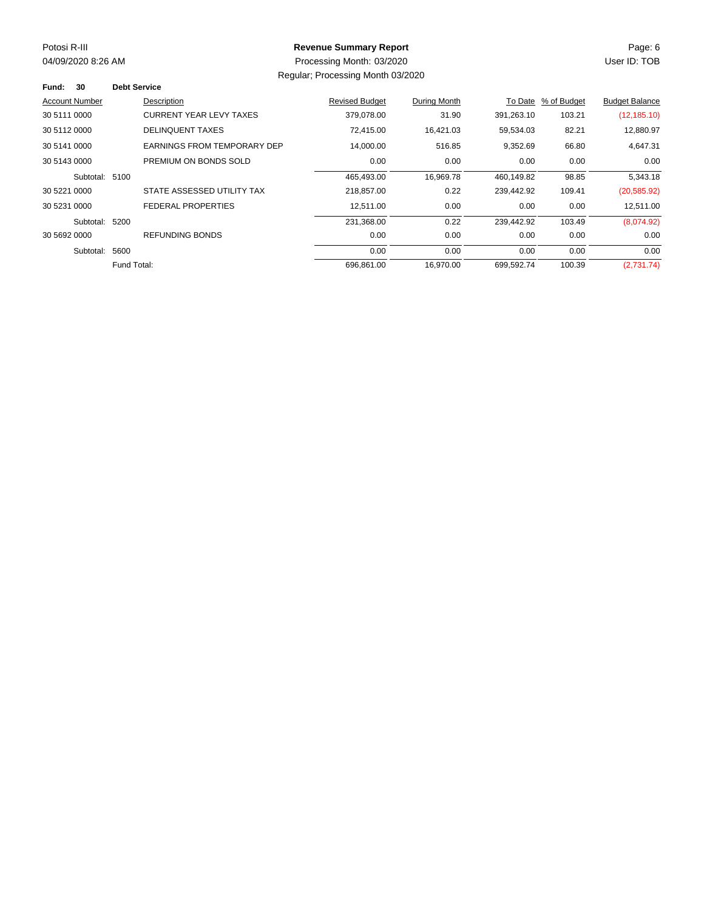03/2020 04/09/2020 8:26 AM User ID: TOB Processing Month:

# Potosi R-III Page: 6 **Revenue Summary Report**

Regular; Processing Month 03/2020

| 30<br>Fund:           |                | <b>Debt Service</b> |                                |                       |              |            |             |                       |
|-----------------------|----------------|---------------------|--------------------------------|-----------------------|--------------|------------|-------------|-----------------------|
| <b>Account Number</b> |                |                     | Description                    | <b>Revised Budget</b> | During Month | To Date    | % of Budget | <b>Budget Balance</b> |
| 30 5111 0000          |                |                     | <b>CURRENT YEAR LEVY TAXES</b> | 379.078.00            | 31.90        | 391.263.10 | 103.21      | (12, 185.10)          |
| 30 5112 0000          |                |                     | <b>DELINQUENT TAXES</b>        | 72,415.00             | 16,421.03    | 59,534.03  | 82.21       | 12,880.97             |
| 30 5141 0000          |                |                     | EARNINGS FROM TEMPORARY DEP    | 14,000.00             | 516.85       | 9,352.69   | 66.80       | 4,647.31              |
| 30 5143 0000          |                |                     | PREMIUM ON BONDS SOLD          | 0.00                  | 0.00         | 0.00       | 0.00        | 0.00                  |
|                       | Subtotal: 5100 |                     |                                | 465,493.00            | 16,969.78    | 460.149.82 | 98.85       | 5,343.18              |
| 30 5221 0000          |                |                     | STATE ASSESSED UTILITY TAX     | 218,857.00            | 0.22         | 239,442.92 | 109.41      | (20, 585.92)          |
| 30 5231 0000          |                |                     | FEDERAL PROPERTIES             | 12,511.00             | 0.00         | 0.00       | 0.00        | 12,511.00             |
|                       | Subtotal: 5200 |                     |                                | 231,368.00            | 0.22         | 239.442.92 | 103.49      | (8,074.92)            |
| 30 5692 0000          |                |                     | REFUNDING BONDS                | 0.00                  | 0.00         | 0.00       | 0.00        | 0.00                  |
|                       | Subtotal:      | 5600                |                                | 0.00                  | 0.00         | 0.00       | 0.00        | 0.00                  |
|                       |                | Fund Total:         |                                | 696,861.00            | 16.970.00    | 699,592.74 | 100.39      | (2,731.74)            |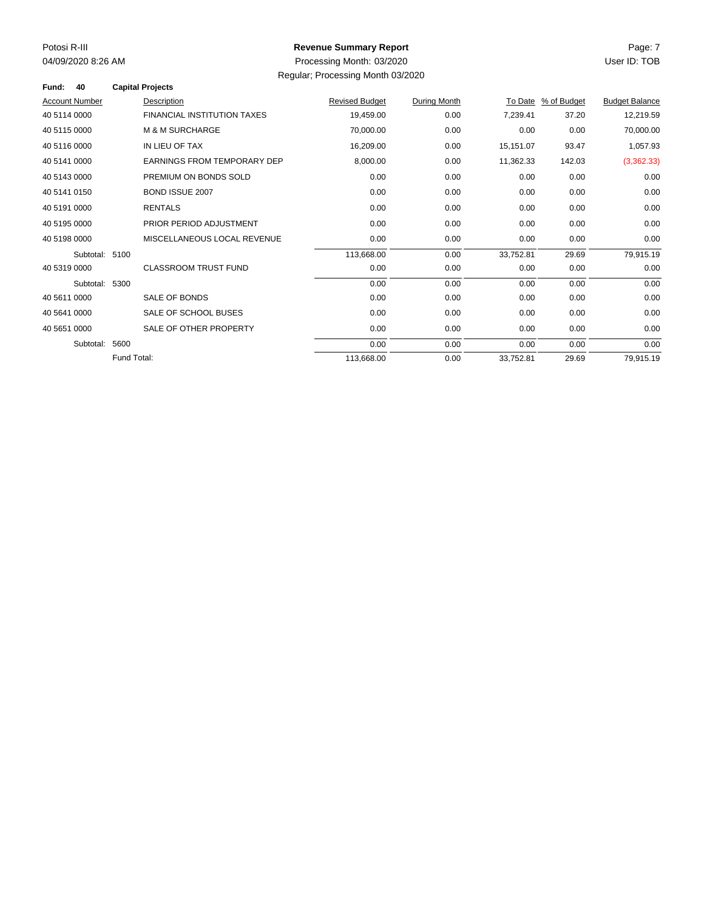03/2020 04/09/2020 8:26 AM User ID: TOB Processing Month:

## Potosi R-III Page: 7 **Revenue Summary Report**

Regular; Processing Month 03/2020

| Fund:<br>40           |             | <b>Capital Projects</b>            |                       |              |           |                     |                       |
|-----------------------|-------------|------------------------------------|-----------------------|--------------|-----------|---------------------|-----------------------|
| <b>Account Number</b> |             | Description                        | <b>Revised Budget</b> | During Month |           | To Date % of Budget | <b>Budget Balance</b> |
| 40 5114 0000          |             | <b>FINANCIAL INSTITUTION TAXES</b> | 19,459.00             | 0.00         | 7,239.41  | 37.20               | 12,219.59             |
| 40 5115 0000          |             | <b>M &amp; M SURCHARGE</b>         | 70,000.00             | 0.00         | 0.00      | 0.00                | 70,000.00             |
| 40 5116 0000          |             | IN LIEU OF TAX                     | 16,209.00             | 0.00         | 15,151.07 | 93.47               | 1,057.93              |
| 40 5141 0000          |             | <b>EARNINGS FROM TEMPORARY DEP</b> | 8,000.00              | 0.00         | 11,362.33 | 142.03              | (3,362.33)            |
| 40 5143 0000          |             | PREMIUM ON BONDS SOLD              | 0.00                  | 0.00         | 0.00      | 0.00                | 0.00                  |
| 40 5141 0150          |             | <b>BOND ISSUE 2007</b>             | 0.00                  | 0.00         | 0.00      | 0.00                | 0.00                  |
| 40 5191 0000          |             | <b>RENTALS</b>                     | 0.00                  | 0.00         | 0.00      | 0.00                | 0.00                  |
| 40 5195 0000          |             | PRIOR PERIOD ADJUSTMENT            | 0.00                  | 0.00         | 0.00      | 0.00                | 0.00                  |
| 40 5198 0000          |             | MISCELLANEOUS LOCAL REVENUE        | 0.00                  | 0.00         | 0.00      | 0.00                | 0.00                  |
| Subtotal: 5100        |             |                                    | 113,668.00            | 0.00         | 33,752.81 | 29.69               | 79,915.19             |
| 40 5319 0000          |             | <b>CLASSROOM TRUST FUND</b>        | 0.00                  | 0.00         | 0.00      | 0.00                | 0.00                  |
| Subtotal: 5300        |             |                                    | 0.00                  | 0.00         | 0.00      | 0.00                | 0.00                  |
| 40 5611 0000          |             | SALE OF BONDS                      | 0.00                  | 0.00         | 0.00      | 0.00                | 0.00                  |
| 40 5641 0000          |             | SALE OF SCHOOL BUSES               | 0.00                  | 0.00         | 0.00      | 0.00                | 0.00                  |
| 40 5651 0000          |             | SALE OF OTHER PROPERTY             | 0.00                  | 0.00         | 0.00      | 0.00                | 0.00                  |
| Subtotal:             | 5600        |                                    | 0.00                  | 0.00         | 0.00      | 0.00                | 0.00                  |
|                       | Fund Total: |                                    | 113,668.00            | 0.00         | 33,752.81 | 29.69               | 79,915.19             |